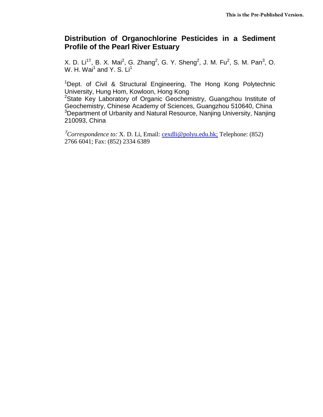## **Distribution of Organochlorine Pesticides in a Sediment Profile of the Pearl River Estuary**

X. D. Li<sup>1T</sup>, B. X. Mai<sup>2</sup>, G. Zhang<sup>2</sup>, G. Y. Sheng<sup>2</sup>, J. M. Fu<sup>2</sup>, S. M. Pan<sup>3</sup>, O. W. H. Wai<sup>1</sup> and Y. S. Li<sup>1</sup>

<sup>1</sup>Dept. of Civil & Structural Engineering, The Hong Kong Polytechnic University, Hung Hom, Kowloon, Hong Kong

<sup>2</sup>State Key Laboratory of Organic Geochemistry, Guangzhou Institute of Geochemistry, Chinese Academy of Sciences, Guangzhou 510640, China <sup>3</sup>Department of Urbanity and Natural Resource, Nanjing University, Nanjing 210093, China

<sup>Τ</sup>*Correspondence to:* X. D. Li, Email: [cexdli@polyu.edu.hk;](mailto:cexdli@polyu.edu.hk;) Telephone: (852) 2766 6041; Fax: (852) 2334 6389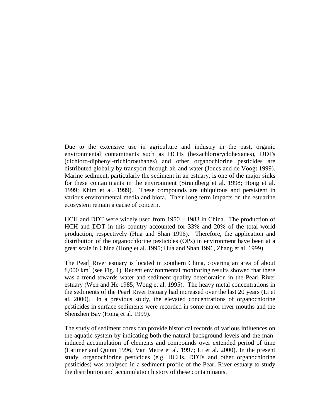Due to the extensive use in agriculture and industry in the past, organic environmental contaminants such as HCHs (hexachlorocyclohexanes), DDTs (dichloro-diphenyl-trichloroethanes) and other organochlorine pesticides are distributed globally by transport through air and water (Jones and de Voogt 1999). Marine sediment, particularly the sediment in an estuary, is one of the major sinks for these contaminants in the environment (Strandberg et al. 1998; Hong et al. 1999; Khim et al. 1999). These compounds are ubiquitous and persistent in various environmental media and biota. Their long term impacts on the estuarine ecosystem remain a cause of concern.

HCH and DDT were widely used from 1950 – 1983 in China. The production of HCH and DDT in this country accounted for 33% and 20% of the total world production, respectively (Hua and Shan 1996). Therefore, the application and distribution of the organochlorine pesticides (OPs) in environment have been at a great scale in China (Hong et al. 1995; Hua and Shan 1996, Zhang et al. 1999).

The Pearl River estuary is located in southern China, covering an area of about  $8,000 \text{ km}^2$  (see Fig. 1). Recent environmental monitoring results showed that there was a trend towards water and sediment quality deterioration in the Pearl River estuary (Wen and He 1985; Wong et al. 1995). The heavy metal concentrations in the sediments of the Pearl River Estuary had increased over the last 20 years (Li et al. 2000). In a previous study, the elevated concentrations of organochlorine pesticides in surface sediments were recorded in some major river mouths and the Shenzhen Bay (Hong et al. 1999).

The study of sediment cores can provide historical records of various influences on the aquatic system by indicating both the natural background levels and the maninduced accumulation of elements and compounds over extended period of time (Latimer and Quinn 1996; Van Metre et al. 1997; Li et al. 2000). In the present study, organochlorine pesticides (e.g. HCHs, DDTs and other organochlorine pesticides) was analysed in a sediment profile of the Pearl River estuary to study the distribution and accumulation history of these contaminants.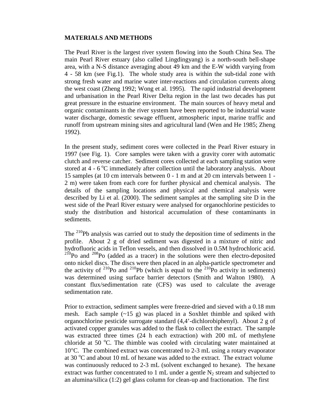## **MATERIALS AND METHODS**

The Pearl River is the largest river system flowing into the South China Sea. The main Pearl River estuary (also called Lingdingyang) is a north-south bell-shape area, with a N-S distance averaging about 49 km and the E-W width varying from 4 - 58 km (see Fig.1). The whole study area is within the sub-tidal zone with strong fresh water and marine water inter-reactions and circulation currents along the west coast (Zheng 1992; Wong et al. 1995). The rapid industrial development and urbanisation in the Pearl River Delta region in the last two decades has put great pressure in the estuarine environment. The main sources of heavy metal and organic contaminants in the river system have been reported to be industrial waste water discharge, domestic sewage effluent, atmospheric input, marine traffic and runoff from upstream mining sites and agricultural land (Wen and He 1985; Zheng 1992).

In the present study, sediment cores were collected in the Pearl River estuary in 1997 (see Fig. 1). Core samples were taken with a gravity corer with automatic clutch and reverse catcher. Sediment cores collected at each sampling station were stored at  $4 - 6$  °C immediately after collection until the laboratory analysis. About 15 samples (at 10 cm intervals between 0 - 1 m and at 20 cm intervals between 1 - 2 m) were taken from each core for further physical and chemical analysis. The details of the sampling locations and physical and chemical analysis were described by Li et al. (2000). The sediment samples at the sampling site D in the west side of the Pearl River estuary were analysed for organochlorine pesticides to study the distribution and historical accumulation of these contaminants in sediments.

The 210Pb analysis was carried out to study the deposition time of sediments in the profile. About 2 g of dried sediment was digested in a mixture of nitric and hydrofluoric acids in Teflon vessels, and then dissolved in 0.5M hydrochloric acid.  $^{210}$ Po and  $^{208}$ Po (added as a tracer) in the solutions were then electro-deposited onto nickel discs. The discs were then placed in an alpha-particle spectrometer and the activity of  $^{210}$ Po and  $^{210}$ Pb (which is equal to the  $^{210}$ Po activity in sediments) was determined using surface barrier detectors (Smith and Walton 1980). A constant flux/sedimentation rate (CFS) was used to calculate the average sedimentation rate.

Prior to extraction, sediment samples were freeze-dried and sieved with a 0.18 mm mesh. Each sample  $(\sim 15 \text{ g})$  was placed in a Soxhlet thimble and spiked with organochlorine pesticide surrogate standard (4,4'-dichlorobiphenyl). About 2 g of activated copper granules was added to the flask to collect the extract. The sample was extracted three times (24 h each extraction) with 200 mL of methylene chloride at 50 °C. The thimble was cooled with circulating water maintained at 10°C. The combined extract was concentrated to 2-3 mL using a rotary evaporator at 30  $^{\circ}$ C and about 10 mL of hexane was added to the extract. The extract volume was continuously reduced to 2-3 mL (solvent exchanged to hexane). The hexane extract was further concentrated to 1 mL under a gentle  $N_2$  stream and subjected to an alumina/silica (1:2) gel glass column for clean-up and fractionation. The first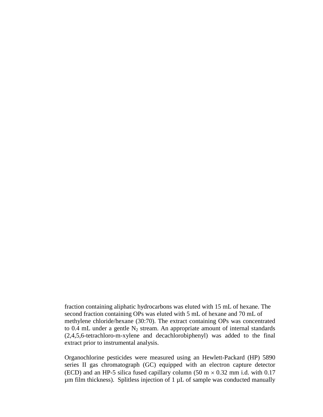fraction containing aliphatic hydrocarbons was eluted with 15 mL of hexane. The second fraction containing OPs was eluted with 5 mL of hexane and 70 mL of methylene chloride/hexane (30:70). The extract containing OPs was concentrated to 0.4 mL under a gentle  $N_2$  stream. An appropriate amount of internal standards (2,4,5,6-tetrachloro-m-xylene and decachlorobiphenyl) was added to the final extract prior to instrumental analysis.

Organochlorine pesticides were measured using an Hewlett-Packard (HP) 5890 series II gas chromatograph (GC) equipped with an electron capture detector (ECD) and an HP-5 silica fused capillary column (50 m  $\times$  0.32 mm i.d. with 0.17  $\mu$ m film thickness). Splitless injection of 1  $\mu$ L of sample was conducted manually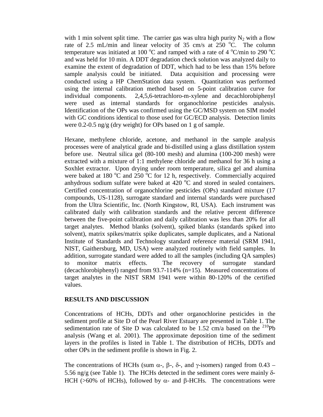with 1 min solvent split time. The carrier gas was ultra high purity  $N_2$  with a flow rate of 2.5 mL/min and linear velocity of 35 cm/s at  $250^{\circ}$ C. The column temperature was initiated at 100 °C and ramped with a rate of 4 °C/min to 290 °C and was held for 10 min. A DDT degradation check solution was analyzed daily to examine the extent of degradation of DDT, which had to be less than 15% before sample analysis could be initiated. Data acquisition and processing were conducted using a HP ChemStation data system. Quantitation was performed using the internal calibration method based on 5-point calibration curve for individual components. 2,4,5,6-tetrachloro-m-xylene and decachlorobiphenyl were used as internal standards for organochlorine pesticides analysis. Identification of the OPs was confirmed using the GC/MSD system on SIM model with GC conditions identical to those used for GC/ECD analysis. Detection limits were 0.2-0.5 ng/g (dry weight) for OPs based on 1 g of sample.

Hexane, methylene chloride, acetone, and methanol in the sample analysis processes were of analytical grade and bi-distilled using a glass distillation system before use. Neutral silica gel (80-100 mesh) and alumina (100-200 mesh) were extracted with a mixture of 1:1 methylene chloride and methanol for 36 h using a Soxhlet extractor. Upon drying under room temperature, silica gel and alumina were baked at 180  $\rm{^oC}$  and 250  $\rm{^oC}$  for 12 h, respectively. Commercially acquired anhydrous sodium sulfate were baked at 420  $\rm{^{\circ}C}$  and stored in sealed containers. Certified concentration of organochlorine pesticides (OPs) standard mixture (17 compounds, US-1128), surrogate standard and internal standards were purchased from the Ultra Scientific, Inc. (North Kingstow, RI, USA). Each instrument was calibrated daily with calibration standards and the relative percent difference between the five-point calibration and daily calibration was less than 20% for all target analytes. Method blanks (solvent), spiked blanks (standards spiked into solvent), matrix spikes/matrix spike duplicates, sample duplicates, and a National Institute of Standards and Technology standard reference material (SRM 1941, NIST, Gaithersburg, MD, USA) were analyzed routinely with field samples. In addition, surrogate standard were added to all the samples (including QA samples) to monitor matrix effects. The recovery of surrogate standard (decachlorobiphenyl) ranged from 93.7-114% (n=15). Measured concentrations of target analytes in the NIST SRM 1941 were within 80-120% of the certified values.

## **RESULTS AND DISCUSSION**

Concentrations of HCHs, DDTs and other organochlorine pesticides in the sediment profile at Site D of the Pearl River Estuary are presented in Table 1. The sedimentation rate of Site D was calculated to be 1.52 cm/a based on the  $^{210}Pb$ analysis (Wang et al. 2001). The approximate deposition time of the sediment layers in the profiles is listed in Table 1. The distribution of HCHs, DDTs and other OPs in the sediment profile is shown in Fig. 2.

The concentrations of HCHs (sum α-, β-, δ-, and γ-isomers) ranged from 0.43 – 5.56 ng/g (see Table 1). The HCHs detected in the sediment cores were mainly δ-HCH ( $>60\%$  of HCHs), followed by α- and β-HCHs. The concentrations were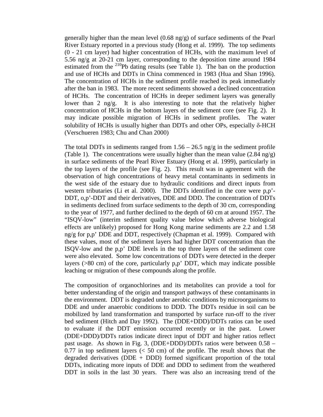generally higher than the mean level (0.68 ng/g) of surface sediments of the Pearl River Estuary reported in a previous study (Hong et al. 1999). The top sediments (0 - 21 cm layer) had higher concentration of HCHs, with the maximum level of 5.56 ng/g at 20-21 cm layer, corresponding to the deposition time around 1984 estimated from the  $^{210}Pb$  dating results (see Table 1). The ban on the production and use of HCHs and DDTs in China commenced in 1983 (Hua and Shan 1996). The concentration of HCHs in the sediment profile reached its peak immediately after the ban in 1983. The more recent sediments showed a declined concentration of HCHs. The concentration of HCHs in deeper sediment layers was generally lower than 2 ng/g. It is also interesting to note that the relatively higher concentration of HCHs in the bottom layers of the sediment core (see Fig. 2). It may indicate possible migration of HCHs in sediment profiles. The water solubility of HCHs is usually higher than DDTs and other OPs, especially δ-HCH (Verschueren 1983; Chu and Chan 2000)

The total DDTs in sediments ranged from  $1.56 - 26.5$  ng/g in the sediment profile (Table 1). The concentrations were usually higher than the mean value  $(2.84 \text{ ng/g})$ in surface sediments of the Pearl River Estuary (Hong et al. 1999), particularly in the top layers of the profile (see Fig. 2). This result was in agreement with the observation of high concentrations of heavy metal contaminants in sediments in the west side of the estuary due to hydraulic conditions and direct inputs from western tributaries (Li et al. 2000). The DDTs identified in the core were p,p'- DDT, o,p'-DDT and their derivatives, DDE and DDD. The concentration of DDTs in sediments declined from surface sediments to the depth of 30 cm, corresponding to the year of 1977, and further declined to the depth of 60 cm at around 1957. The "ISQV-low" (interim sediment quality value below which adverse biological effects are unlikely) proposed for Hong Kong marine sediments are 2.2 and 1.58 ng/g for p,p' DDE and DDT, respectively (Chapman et al. 1999). Compared with these values, most of the sediment layers had higher DDT concentration than the ISQV-low and the p,p' DDE levels in the top three layers of the sediment core were also elevated. Some low concentrations of DDTs were detected in the deeper layers (>80 cm) of the core, particularly p,p' DDT, which may indicate possible leaching or migration of these compounds along the profile.

The composition of organochlorines and its metabolites can provide a tool for better understanding of the origin and transport pathways of these contaminants in the environment. DDT is degraded under aerobic conditions by microorganisms to DDE and under anaerobic conditions to DDD. The DDTs residue in soil can be mobilized by land transformation and transported by surface run-off to the river bed sediment (Hitch and Day 1992). The (DDE+DDD)/DDTs ratios can be used to evaluate if the DDT emission occurred recently or in the past. Lower (DDE+DDD)/DDTs ratios indicate direct input of DDT and higher ratios reflect past usage. As shown in Fig. 3, (DDE+DDD)/DDTs ratios were between 0.58 –  $0.77$  in top sediment layers ( $< 50$  cm) of the profile. The result shows that the degraded derivatives (DDE + DDD) formed significant proportion of the total DDTs, indicating more inputs of DDE and DDD to sediment from the weathered DDT in soils in the last 30 years. There was also an increasing trend of the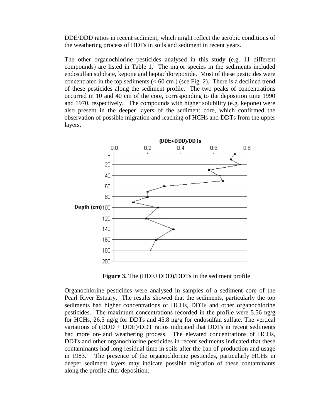DDE/DDD ratios in recent sediment, which might reflect the aerobic conditions of the weathering process of DDTs in soils and sediment in recent years.

The other organochlorine pesticides analysed in this study (e.g. 11 different compounds) are listed in Table 1. The major species in the sediments included endosulfan sulphate, kepone and heptachlorepoxide. Most of these pesticides were concentrated in the top sediments  $(< 60 \text{ cm})$  (see Fig. 2). There is a declined trend of these pesticides along the sediment profile. The two peaks of concentrations occurred in 10 and 40 cm of the core, corresponding to the deposition time 1990 and 1970, respectively. The compounds with higher solubility (e.g. kepone) were also present in the deeper layers of the sediment core, which confirmed the observation of possible migration and leaching of HCHs and DDTs from the upper layers.



**Figure 3.** The (DDE+DDD)/DDTs in the sediment profile

Organochlorine pesticides were analysed in samples of a sediment core of the Pearl River Estuary. The results showed that the sediments, particularly the top sediments had higher concentrations of HCHs, DDTs and other organochlorine pesticides. The maximum concentrations recorded in the profile were 5.56 ng/g for HCHs, 26.5 ng/g for DDTs and 45.8 ng/g for endosulfan sulfate. The vertical variations of (DDD + DDE)/DDT ratios indicated that DDTs in recent sediments had more on-land weathering process. The elevated concentrations of HCHs, DDTs and other organochlorine pesticides in recent sediments indicated that these contaminants had long residual time in soils after the ban of production and usage in 1983. The presence of the organochlorine pesticides, particularly HCHs in deeper sediment layers may indicate possible migration of these contaminants along the profile after deposition.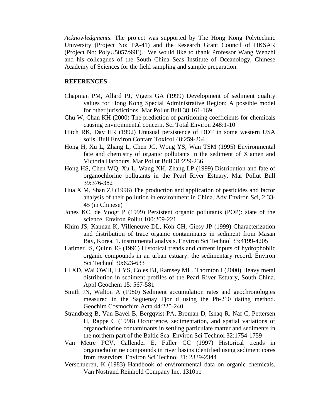*Acknowledgments*. The project was supported by The Hong Kong Polytechnic University (Project No: PA-41) and the Research Grant Council of HKSAR (Project No: PolyU5057/99E). We would like to thank Professor Wang Wenzhi and his colleagues of the South China Seas Institute of Oceanology, Chinese Academy of Sciences for the field sampling and sample preparation.

## **REFERENCES**

- Chapman PM, Allard PJ, Vigers GA (1999) Development of sediment quality values for Hong Kong Special Administrative Region: A possible model for other jurisdictions. Mar Pollut Bull 38:161-169
- Chu W, Chan KH (2000) The prediction of partitioning coefficients for chemicals causing environmental concern. Sci Total Environ 248:1-10
- Hitch RK, Day HR (1992) Unusual persistence of DDT in some western USA soils. Bull Environ Contam Toxicol 48:259-264
- Hong H, Xu L, Zhang L, Chen JC, Wong YS, Wan TSM (1995) Environmental fate and chemistry of organic pollutants in the sediment of Xiamen and Victoria Harbours. Mar Pollut Bull 31:229-236
- Hong HS, Chen WQ, Xu L, Wang XH, Zhang LP (1999) Distribution and fate of organochlorine pollutants in the Pearl River Estuary. Mar Pollut Bull 39:376-382
- Hua X M, Shan ZJ (1996) The production and application of pesticides and factor analysis of their pollution in environment in China. Adv Environ Sci, 2:33- 45 (in Chinese)
- Jones KC, de Voogt P (1999) Persistent organic pollutants (POP): state of the science. Environ Pollut 100:209-221
- Khim JS, Kannan K, Villeneuve DL, Koh CH, Giesy JP (1999) Characterization and distribution of trace organic contaminants in sediment from Masan Bay, Korea. 1. instrumental analysis. Environ Sci Technol 33:4199-4205
- Latimer JS, Quinn JG (1996) Historical trends and current inputs of hydrophoblic organic compounds in an urban estuary: the sedimentary record. Environ Sci Technol 30:623-633
- Li XD, Wai OWH, Li YS, Coles BJ, Ramsey MH, Thornton I (2000) Heavy metal distribution in sediment profiles of the Pearl River Estuary, South China. Appl Geochem 15: 567-581
- Smith JN, Walton A (1980) Sediment accumulation rates and geochronologies measured in the Saguenay Fjor d using the Pb-210 dating method. Geochim Cosmochim Acta 44:225-240
- Strandberg B, Van Bavel B, Bergqvist PA, Broman D, Ishaq R, Naf C, Pettersen H, Rappe C (1998) Occurrence, sedimentation, and spatial variations of organochlorine contaminants in settling particulate matter and sediments in the northern part of the Baltic Sea. Environ Sci Technol 32:1754-1759
- Van Metre PCV, Callender E, Fuller CC (1997) Historical trends in organocholorine compounds in river basins identified using sediment cores from reserviors. Environ Sci Technol 31: 2339-2344
- Verschueren, K (1983) Handbook of environmental data on organic chemicals. Van Nostrand Reinhold Company Inc. 1310pp